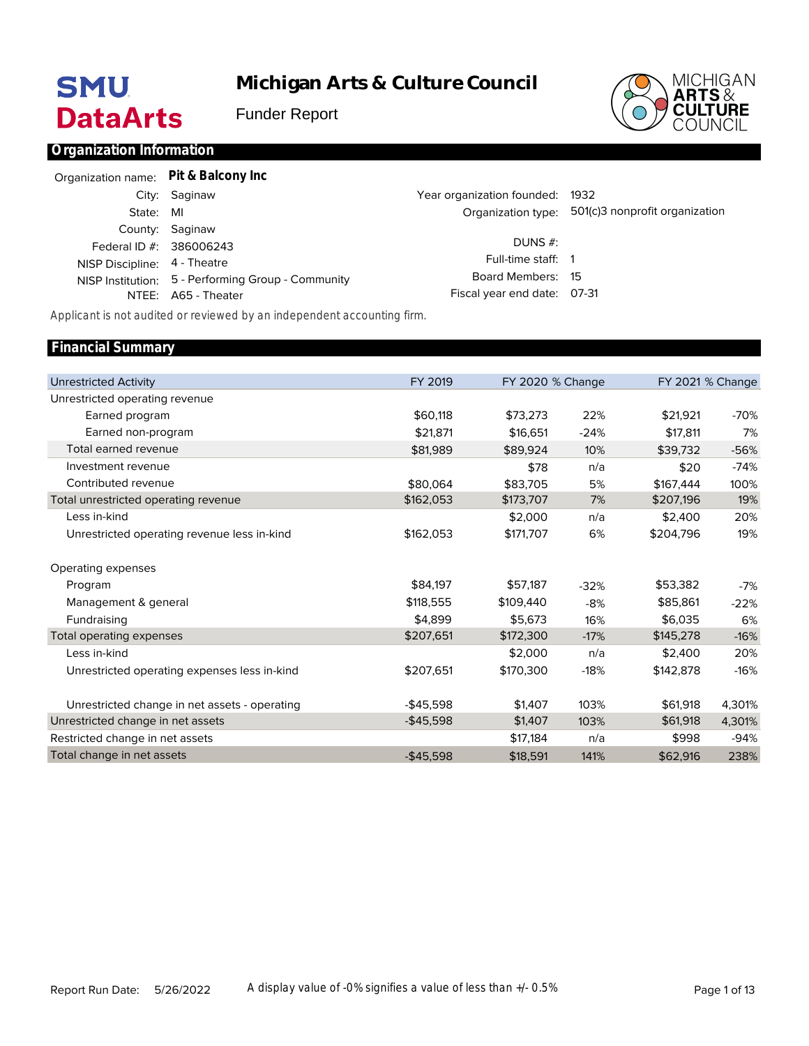# **SMU DataArts**

**Michigan Arts & Culture Council**

Funder Report



# **Organization Information**

| Organization name: Pit & Balcony Inc |                                                    |                                 |                                                   |
|--------------------------------------|----------------------------------------------------|---------------------------------|---------------------------------------------------|
|                                      | City: Saginaw                                      | Year organization founded: 1932 |                                                   |
| State: MI                            |                                                    |                                 | Organization type: 501(c)3 nonprofit organization |
|                                      | County: Saginaw                                    |                                 |                                                   |
|                                      | Federal ID #: 386006243                            | DUNS $#$ :                      |                                                   |
| NISP Discipline: 4 - Theatre         |                                                    | Full-time staff: 1              |                                                   |
|                                      | NISP Institution: 5 - Performing Group - Community | Board Members: 15               |                                                   |
|                                      | NTEE: A65 - Theater                                | Fiscal year end date: 07-31     |                                                   |
|                                      |                                                    |                                 |                                                   |

*Applicant is not audited or reviewed by an independent accounting firm.*

| FY 2019    |           |        |                  | FY 2021 % Change |
|------------|-----------|--------|------------------|------------------|
|            |           |        |                  |                  |
| \$60.118   | \$73,273  | 22%    | \$21,921         | -70%             |
| \$21,871   | \$16,651  | $-24%$ | \$17,811         | 7%               |
| \$81,989   | \$89,924  | 10%    | \$39,732         | $-56%$           |
|            | \$78      | n/a    | \$20             | $-74%$           |
| \$80.064   | \$83,705  | 5%     | \$167,444        | 100%             |
| \$162,053  | \$173,707 | 7%     | \$207,196        | 19%              |
|            | \$2,000   | n/a    | \$2,400          | 20%              |
| \$162,053  | \$171,707 | 6%     | \$204,796        | 19%              |
|            |           |        |                  |                  |
| \$84,197   | \$57,187  | $-32%$ | \$53,382         | $-7%$            |
| \$118,555  | \$109,440 | $-8%$  | \$85,861         | $-22%$           |
| \$4.899    | \$5.673   | 16%    | \$6,035          | 6%               |
| \$207,651  | \$172,300 | $-17%$ | \$145,278        | $-16%$           |
|            | \$2,000   | n/a    | \$2,400          | 20%              |
| \$207,651  | \$170,300 | $-18%$ | \$142,878        | $-16%$           |
| $-$45,598$ | \$1,407   | 103%   | \$61,918         | 4,301%           |
| $-$45,598$ | \$1,407   | 103%   | \$61,918         | 4,301%           |
|            | \$17,184  | n/a    | \$998            | $-94%$           |
| $-$45,598$ | \$18,591  | 141%   | \$62,916         | 238%             |
|            |           |        | FY 2020 % Change |                  |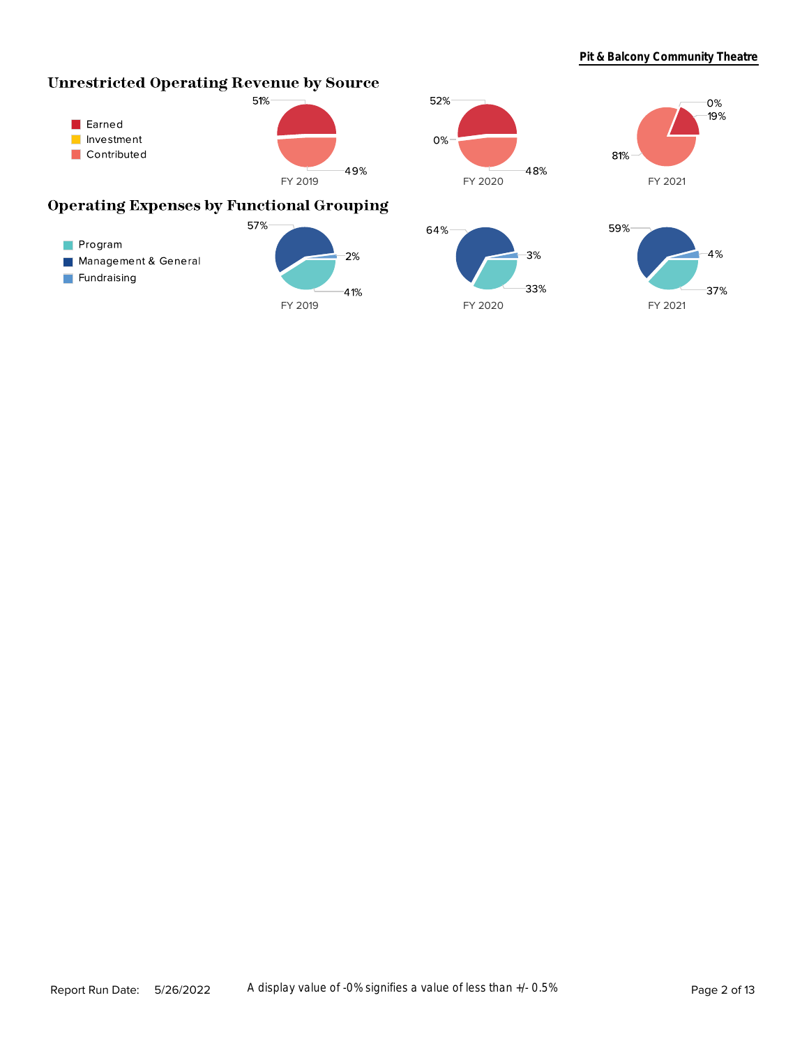$0%$  $19%$ 

# **Unrestricted Operating Revenue by Source**





# **Operating Expenses by Functional Grouping**

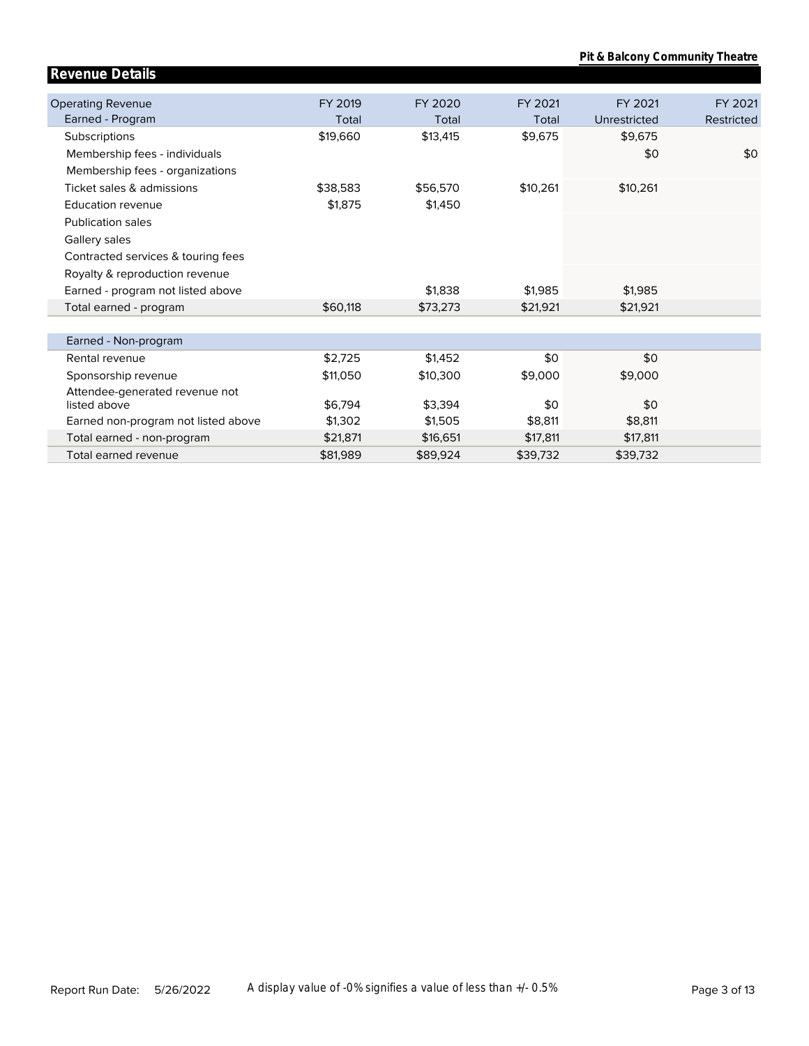**Pit & Balcony Community Theatre**

| <b>Revenue Details</b>                         |          |          |          |              |            |
|------------------------------------------------|----------|----------|----------|--------------|------------|
| <b>Operating Revenue</b>                       | FY 2019  | FY 2020  | FY 2021  | FY 2021      | FY 2021    |
| Earned - Program                               | Total    | Total    | Total    | Unrestricted | Restricted |
| Subscriptions                                  | \$19,660 | \$13,415 | \$9,675  | \$9,675      |            |
| Membership fees - individuals                  |          |          |          | \$0          | \$0        |
| Membership fees - organizations                |          |          |          |              |            |
| Ticket sales & admissions                      | \$38,583 | \$56,570 | \$10,261 | \$10,261     |            |
| Education revenue                              | \$1,875  | \$1,450  |          |              |            |
| <b>Publication sales</b>                       |          |          |          |              |            |
| Gallery sales                                  |          |          |          |              |            |
| Contracted services & touring fees             |          |          |          |              |            |
| Royalty & reproduction revenue                 |          |          |          |              |            |
| Earned - program not listed above              |          | \$1,838  | \$1,985  | \$1,985      |            |
| Total earned - program                         | \$60,118 | \$73,273 | \$21,921 | \$21,921     |            |
|                                                |          |          |          |              |            |
| Earned - Non-program                           |          |          |          |              |            |
| Rental revenue                                 | \$2,725  | \$1,452  | \$0      | \$0          |            |
| Sponsorship revenue                            | \$11,050 | \$10,300 | \$9,000  | \$9,000      |            |
| Attendee-generated revenue not<br>listed above | \$6,794  | \$3,394  | \$0      | \$0          |            |
| Earned non-program not listed above            | \$1,302  | \$1,505  | \$8,811  | \$8,811      |            |
| Total earned - non-program                     | \$21,871 | \$16,651 | \$17,811 | \$17,811     |            |
| Total earned revenue                           | \$81,989 | \$89,924 | \$39,732 | \$39,732     |            |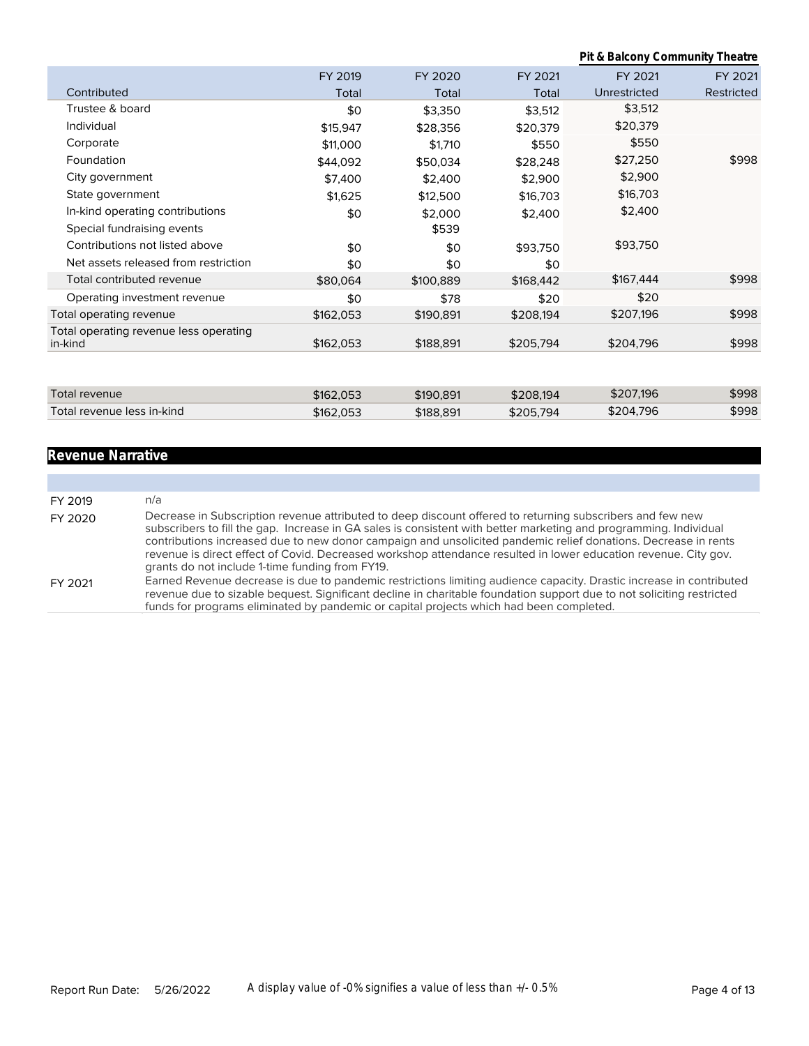**Pit & Balcony Community Theatre**

|                                                   | FY 2019   | FY 2020   | FY 2021   | FY 2021      | FY 2021    |
|---------------------------------------------------|-----------|-----------|-----------|--------------|------------|
| Contributed                                       | Total     | Total     | Total     | Unrestricted | Restricted |
| Trustee & board                                   | \$0       | \$3,350   | \$3,512   | \$3,512      |            |
| Individual                                        | \$15,947  | \$28,356  | \$20,379  | \$20,379     |            |
| Corporate                                         | \$11,000  | \$1,710   | \$550     | \$550        |            |
| Foundation                                        | \$44,092  | \$50,034  | \$28,248  | \$27,250     | \$998      |
| City government                                   | \$7,400   | \$2,400   | \$2,900   | \$2,900      |            |
| State government                                  | \$1,625   | \$12,500  | \$16,703  | \$16,703     |            |
| In-kind operating contributions                   | \$0       | \$2,000   | \$2,400   | \$2,400      |            |
| Special fundraising events                        |           | \$539     |           |              |            |
| Contributions not listed above                    | \$0       | \$0       | \$93,750  | \$93,750     |            |
| Net assets released from restriction              | \$0       | \$0       | \$0       |              |            |
| Total contributed revenue                         | \$80,064  | \$100,889 | \$168,442 | \$167,444    | \$998      |
| Operating investment revenue                      | \$0       | \$78      | \$20      | \$20         |            |
| Total operating revenue                           | \$162,053 | \$190,891 | \$208,194 | \$207,196    | \$998      |
| Total operating revenue less operating<br>in-kind | \$162,053 | \$188,891 | \$205,794 | \$204,796    | \$998      |
|                                                   |           |           |           |              |            |
|                                                   |           |           |           |              |            |
| Total revenue                                     | \$162,053 | \$190,891 | \$208,194 | \$207,196    | \$998      |
| Total revenue less in-kind                        | \$162,053 | \$188,891 | \$205,794 | \$204,796    | \$998      |

# **Revenue Narrative**

| FY 2019 | n/a                                                                                                                                                                                                                                                                                                                                                                                                                                                                                                                    |
|---------|------------------------------------------------------------------------------------------------------------------------------------------------------------------------------------------------------------------------------------------------------------------------------------------------------------------------------------------------------------------------------------------------------------------------------------------------------------------------------------------------------------------------|
| FY 2020 | Decrease in Subscription revenue attributed to deep discount offered to returning subscribers and few new<br>subscribers to fill the gap. Increase in GA sales is consistent with better marketing and programming. Individual<br>contributions increased due to new donor campaign and unsolicited pandemic relief donations. Decrease in rents<br>revenue is direct effect of Covid. Decreased workshop attendance resulted in lower education revenue. City gov.<br>grants do not include 1-time funding from FY19. |
| FY 2021 | Earned Revenue decrease is due to pandemic restrictions limiting audience capacity. Drastic increase in contributed<br>revenue due to sizable bequest. Significant decline in charitable foundation support due to not soliciting restricted<br>funds for programs eliminated by pandemic or capital projects which had been completed.                                                                                                                                                                                |
|         |                                                                                                                                                                                                                                                                                                                                                                                                                                                                                                                        |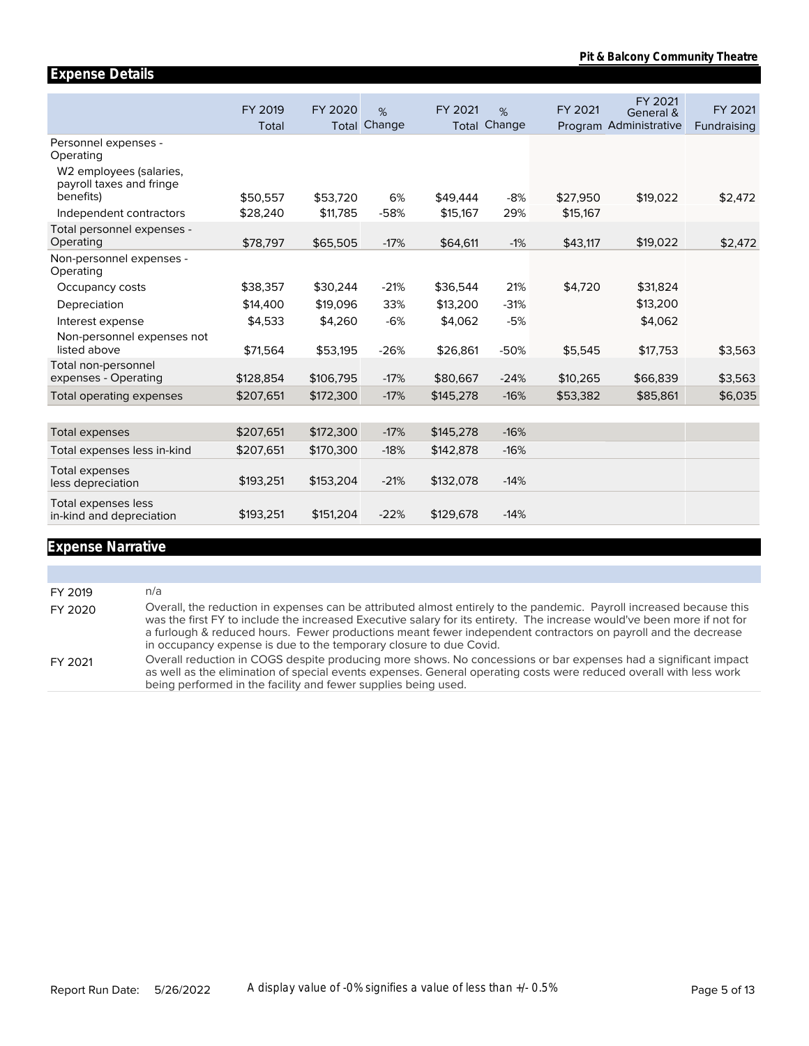|                                                                  | FY 2019<br>Total | FY 2020<br>Total | %<br>Change | FY 2021   | %<br><b>Total Change</b> | FY 2021  | FY 2021<br>General &<br>Program Administrative | FY 2021<br>Fundraising |
|------------------------------------------------------------------|------------------|------------------|-------------|-----------|--------------------------|----------|------------------------------------------------|------------------------|
| Personnel expenses -<br>Operating                                |                  |                  |             |           |                          |          |                                                |                        |
| W2 employees (salaries,<br>payroll taxes and fringe<br>benefits) |                  |                  |             |           |                          |          |                                                |                        |
|                                                                  | \$50,557         | \$53,720         | 6%          | \$49,444  | $-8%$                    | \$27,950 | \$19,022                                       | \$2,472                |
| Independent contractors                                          | \$28,240         | \$11,785         | $-58%$      | \$15,167  | 29%                      | \$15,167 |                                                |                        |
| Total personnel expenses -<br>Operating                          | \$78,797         | \$65,505         | $-17%$      | \$64,611  | $-1%$                    | \$43,117 | \$19,022                                       | \$2,472                |
| Non-personnel expenses -<br>Operating                            |                  |                  |             |           |                          |          |                                                |                        |
| Occupancy costs                                                  | \$38,357         | \$30,244         | $-21%$      | \$36,544  | 21%                      | \$4,720  | \$31,824                                       |                        |
| Depreciation                                                     | \$14,400         | \$19,096         | 33%         | \$13,200  | $-31%$                   |          | \$13,200                                       |                        |
| Interest expense                                                 | \$4,533          | \$4,260          | $-6%$       | \$4,062   | $-5%$                    |          | \$4,062                                        |                        |
| Non-personnel expenses not<br>listed above                       | \$71,564         | \$53,195         | $-26%$      | \$26,861  | $-50%$                   | \$5,545  | \$17,753                                       | \$3,563                |
| Total non-personnel                                              |                  |                  |             |           |                          |          |                                                |                        |
| expenses - Operating                                             | \$128,854        | \$106,795        | $-17%$      | \$80,667  | $-24%$                   | \$10,265 | \$66,839                                       | \$3,563                |
| Total operating expenses                                         | \$207,651        | \$172,300        | $-17%$      | \$145,278 | $-16%$                   | \$53,382 | \$85,861                                       | \$6,035                |
|                                                                  |                  |                  |             |           |                          |          |                                                |                        |
| Total expenses                                                   | \$207,651        | \$172,300        | $-17%$      | \$145,278 | $-16%$                   |          |                                                |                        |
| Total expenses less in-kind                                      | \$207,651        | \$170,300        | $-18%$      | \$142,878 | $-16%$                   |          |                                                |                        |
| Total expenses<br>less depreciation                              | \$193,251        | \$153,204        | $-21%$      | \$132,078 | $-14%$                   |          |                                                |                        |
| Total expenses less<br>in-kind and depreciation                  | \$193,251        | \$151,204        | $-22%$      | \$129,678 | $-14%$                   |          |                                                |                        |

# **Expense Narrative**

**Expense Details**

| FY 2019 | n/a                                                                                                                                                                                                                                                                                                                                                                                                                                    |
|---------|----------------------------------------------------------------------------------------------------------------------------------------------------------------------------------------------------------------------------------------------------------------------------------------------------------------------------------------------------------------------------------------------------------------------------------------|
| FY 2020 | Overall, the reduction in expenses can be attributed almost entirely to the pandemic. Payroll increased because this<br>was the first FY to include the increased Executive salary for its entirety. The increase would've been more if not for<br>a furlough & reduced hours. Fewer productions meant fewer independent contractors on payroll and the decrease<br>in occupancy expense is due to the temporary closure to due Covid. |
| FY 2021 | Overall reduction in COGS despite producing more shows. No concessions or bar expenses had a significant impact<br>as well as the elimination of special events expenses. General operating costs were reduced overall with less work<br>being performed in the facility and fewer supplies being used.                                                                                                                                |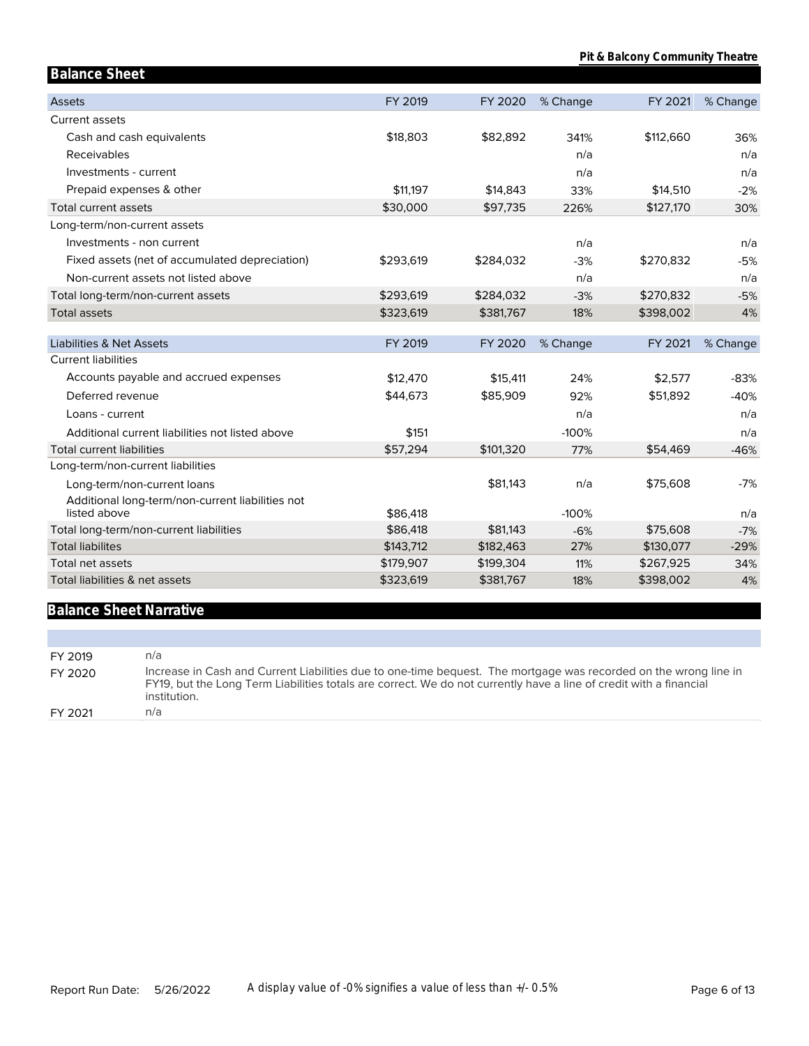| <b>Balance Sheet</b>                                              |           |           |          |           |          |
|-------------------------------------------------------------------|-----------|-----------|----------|-----------|----------|
| <b>Assets</b>                                                     | FY 2019   | FY 2020   | % Change | FY 2021   | % Change |
| Current assets                                                    |           |           |          |           |          |
| Cash and cash equivalents                                         | \$18,803  | \$82,892  | 341%     | \$112,660 | 36%      |
| Receivables                                                       |           |           | n/a      |           | n/a      |
| Investments - current                                             |           |           | n/a      |           | n/a      |
| Prepaid expenses & other                                          | \$11.197  | \$14,843  | 33%      | \$14,510  | $-2%$    |
| Total current assets                                              | \$30,000  | \$97,735  | 226%     | \$127,170 | 30%      |
| Long-term/non-current assets                                      |           |           |          |           |          |
| Investments - non current                                         |           |           | n/a      |           | n/a      |
| Fixed assets (net of accumulated depreciation)                    | \$293,619 | \$284,032 | $-3%$    | \$270,832 | $-5%$    |
| Non-current assets not listed above                               |           |           | n/a      |           | n/a      |
| Total long-term/non-current assets                                | \$293,619 | \$284,032 | $-3%$    | \$270,832 | $-5%$    |
| <b>Total assets</b>                                               | \$323,619 | \$381,767 | 18%      | \$398,002 | 4%       |
|                                                                   |           |           |          |           |          |
| <b>Liabilities &amp; Net Assets</b><br><b>Current liabilities</b> | FY 2019   | FY 2020   | % Change | FY 2021   | % Change |
|                                                                   |           |           | 24%      |           | $-83%$   |
| Accounts payable and accrued expenses<br>Deferred revenue         | \$12,470  | \$15,411  |          | \$2,577   |          |
|                                                                   | \$44,673  | \$85,909  | 92%      | \$51,892  | $-40%$   |
| Loans - current                                                   |           |           | n/a      |           | n/a      |
| Additional current liabilities not listed above                   | \$151     |           | $-100%$  |           | n/a      |
| <b>Total current liabilities</b>                                  | \$57,294  | \$101,320 | 77%      | \$54,469  | $-46%$   |
| Long-term/non-current liabilities                                 |           |           |          |           | $-7%$    |
| Long-term/non-current loans                                       |           | \$81,143  | n/a      | \$75,608  |          |
| Additional long-term/non-current liabilities not<br>listed above  | \$86,418  |           | $-100%$  |           | n/a      |
| Total long-term/non-current liabilities                           | \$86,418  | \$81,143  | $-6%$    | \$75,608  | $-7%$    |
| <b>Total liabilites</b>                                           | \$143,712 | \$182,463 | 27%      | \$130,077 | $-29%$   |
| Total net assets                                                  | \$179,907 | \$199,304 | 11%      | \$267,925 | 34%      |
| Total liabilities & net assets                                    | \$323,619 | \$381,767 | 18%      | \$398,002 | 4%       |

# **Balance Sheet Narrative**

| FY 2019 | n/a                                                                                                                                                                                                                                                    |
|---------|--------------------------------------------------------------------------------------------------------------------------------------------------------------------------------------------------------------------------------------------------------|
| FY 2020 | Increase in Cash and Current Liabilities due to one-time bequest. The mortgage was recorded on the wrong line in<br>FY19, but the Long Term Liabilities totals are correct. We do not currently have a line of credit with a financial<br>institution. |
| FY 2021 | n/a                                                                                                                                                                                                                                                    |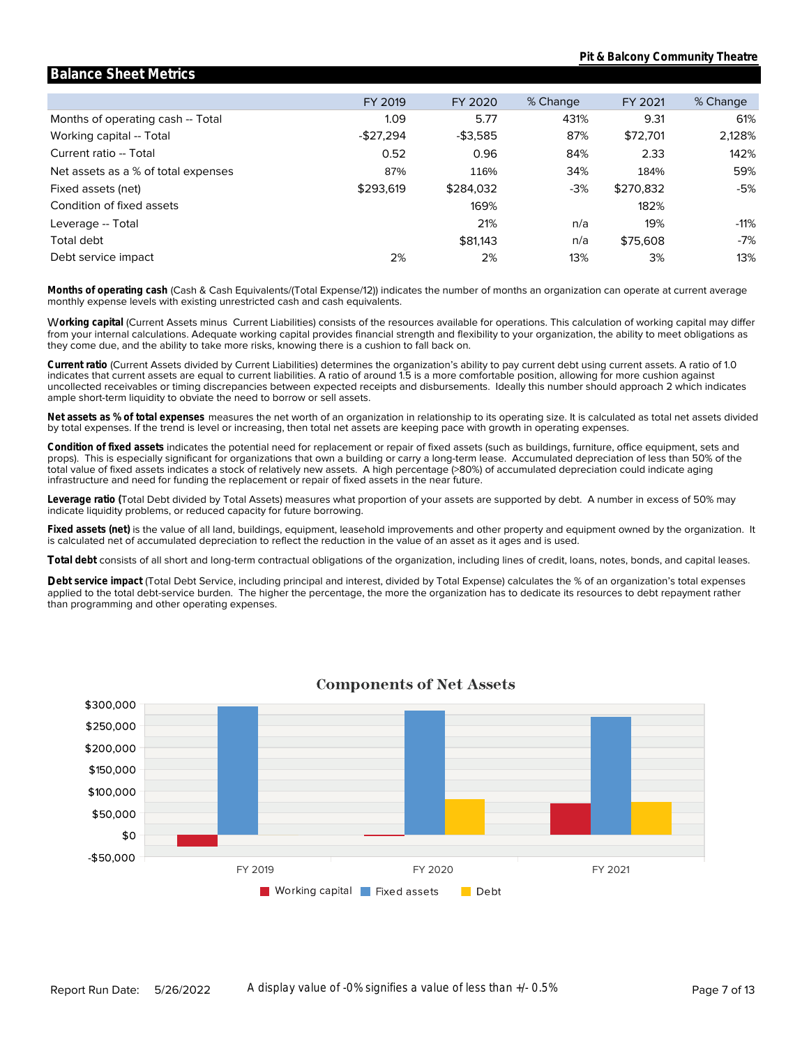#### Months of operating cash -- Total Working capital -- Total Current ratio -- Total Net assets as a % of total expenses Fixed assets (net) Condition of fixed assets Leverage -- Total **Leverage\_ratio** Total debt Debt service impact FY 2019 1.09 -\$27,294 0.52 87% \$293,619 2% FY 2020 5.77 -\$3,585 0.96 116% \$284,032 169% 21% \$81,143 2% % Change 431% 87% 84% 34% -3% n/a n/a 13% FY 2021 9.31 \$72,701 2.33 184% \$270,832 182% 19% \$75,608 3% % Change 61% 2,128% 142% 59% -5% -11% -7% 13%

**Balance Sheet Metrics**

monthly expense levels with existing unrestricted cash and cash equivalents. **Months of operating cash** (Cash & Cash Equivalents/(Total Expense/12)) indicates the number of months an organization can operate at current average

they come due, and the ability to take more risks, knowing there is a cushion to fall back on. from your internal calculations. Adequate working capital provides financial strength and flexibility to your organization, the ability to meet obligations as W**orking capital** (Current Assets minus Current Liabilities) consists of the resources available for operations. This calculation of working capital may differ

ample short-term liquidity to obviate the need to borrow or sell assets. uncollected receivables or timing discrepancies between expected receipts and disbursements. Ideally this number should approach 2 which indicates indicates that current assets are equal to current liabilities. A ratio of around 1.5 is a more comfortable position, allowing for more cushion against **Current ratio** (Current Assets divided by Current Liabilities) determines the organization's ability to pay current debt using current assets. A ratio of 1.0

by total expenses. If the trend is level or increasing, then total net assets are keeping pace with growth in operating expenses. **Net assets as % of total expenses** measures the net worth of an organization in relationship to its operating size. It is calculated as total net assets divided

infrastructure and need for funding the replacement or repair of fixed assets in the near future. total value of fixed assets indicates a stock of relatively new assets. A high percentage (>80%) of accumulated depreciation could indicate aging props). This is especially significant for organizations that own a building or carry a long-term lease. Accumulated depreciation of less than 50% of the **Condition of fixed assets** indicates the potential need for replacement or repair of fixed assets (such as buildings, furniture, office equipment, sets and

indicate liquidity problems, or reduced capacity for future borrowing. **Leverage ratio (**Total Debt divided by Total Assets) measures what proportion of your assets are supported by debt. A number in excess of 50% may

is calculated net of accumulated depreciation to reflect the reduction in the value of an asset as it ages and is used. **Fixed assets (net)** is the value of all land, buildings, equipment, leasehold improvements and other property and equipment owned by the organization. It

**Total debt** consists of all short and long-term contractual obligations of the organization, including lines of credit, loans, notes, bonds, and capital leases.

than programming and other operating expenses. applied to the total debt-service burden. The higher the percentage, the more the organization has to dedicate its resources to debt repayment rather **Debt service impact** (Total Debt Service, including principal and interest, divided by Total Expense) calculates the % of an organization's total expenses



### **Components of Net Assets**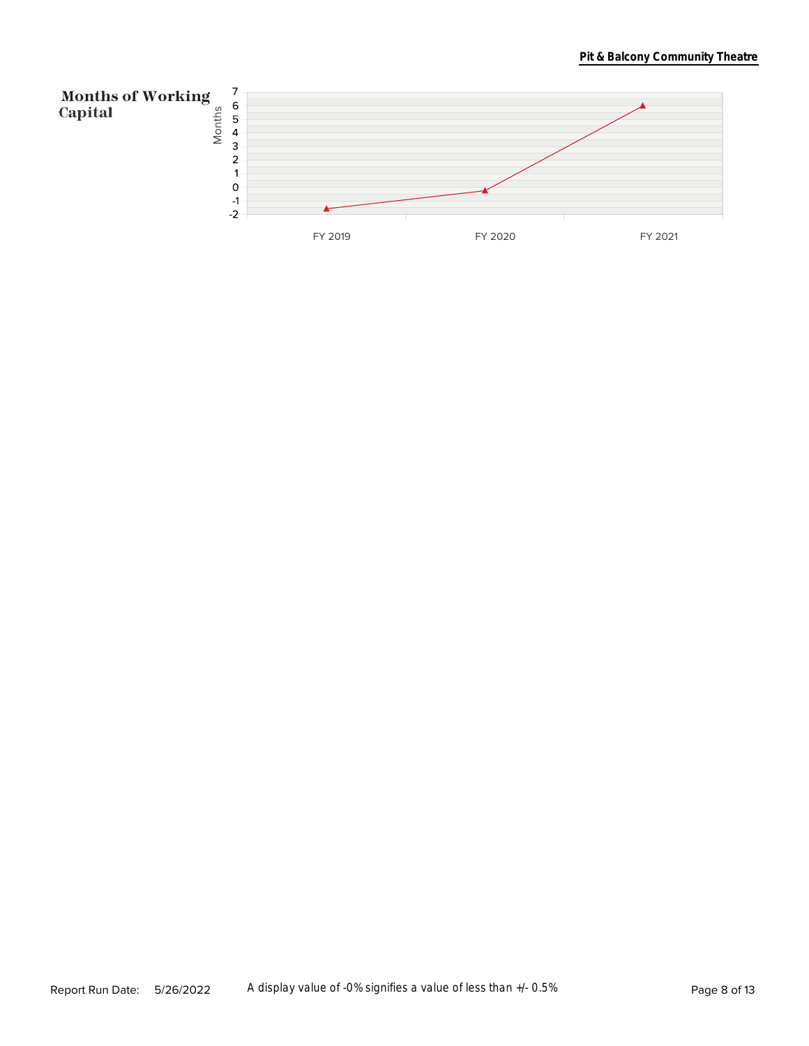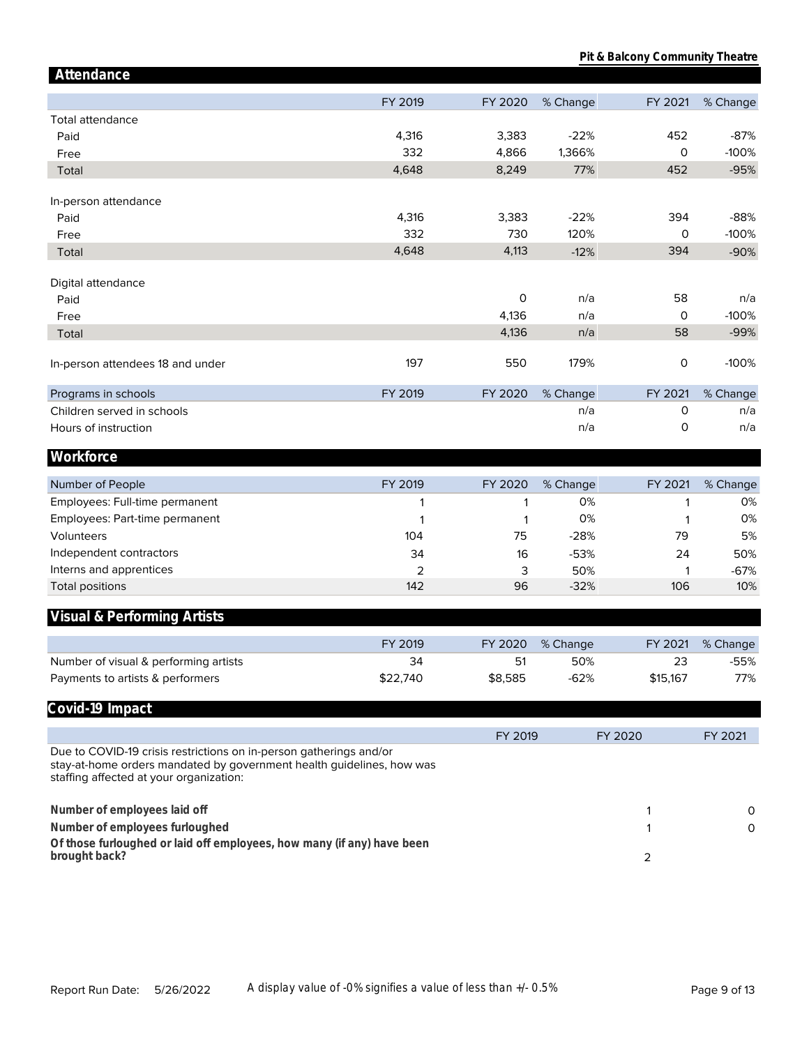| Attendance                                                                                                                                                                             |          |         |          |          |          |
|----------------------------------------------------------------------------------------------------------------------------------------------------------------------------------------|----------|---------|----------|----------|----------|
|                                                                                                                                                                                        | FY 2019  | FY 2020 | % Change | FY 2021  | % Change |
| Total attendance                                                                                                                                                                       |          |         |          |          |          |
| Paid                                                                                                                                                                                   | 4,316    | 3,383   | $-22%$   | 452      | $-87%$   |
| Free                                                                                                                                                                                   | 332      | 4,866   | 1,366%   | $\circ$  | $-100%$  |
| Total                                                                                                                                                                                  | 4,648    | 8,249   | 77%      | 452      | $-95%$   |
|                                                                                                                                                                                        |          |         |          |          |          |
| In-person attendance                                                                                                                                                                   |          |         |          |          |          |
| Paid                                                                                                                                                                                   | 4,316    | 3,383   | $-22%$   | 394      | $-88%$   |
| Free                                                                                                                                                                                   | 332      | 730     | 120%     | 0        | $-100%$  |
| Total                                                                                                                                                                                  | 4,648    | 4,113   | $-12%$   | 394      | $-90%$   |
| Digital attendance                                                                                                                                                                     |          |         |          |          |          |
| Paid                                                                                                                                                                                   |          | 0       | n/a      | 58       | n/a      |
| Free                                                                                                                                                                                   |          | 4,136   | n/a      | 0        | $-100%$  |
| Total                                                                                                                                                                                  |          | 4,136   | n/a      | 58       | $-99%$   |
|                                                                                                                                                                                        |          |         |          |          |          |
| In-person attendees 18 and under                                                                                                                                                       | 197      | 550     | 179%     | 0        | $-100%$  |
| Programs in schools                                                                                                                                                                    | FY 2019  | FY 2020 | % Change | FY 2021  | % Change |
| Children served in schools                                                                                                                                                             |          |         | n/a      | 0        | n/a      |
| Hours of instruction                                                                                                                                                                   |          |         | n/a      | 0        | n/a      |
| Workforce                                                                                                                                                                              |          |         |          |          |          |
| Number of People                                                                                                                                                                       | FY 2019  | FY 2020 | % Change | FY 2021  | % Change |
| Employees: Full-time permanent                                                                                                                                                         | 1        | 1       | 0%       | 1        | 0%       |
| Employees: Part-time permanent                                                                                                                                                         | 1        | 1       | 0%       | 1        | 0%       |
| Volunteers                                                                                                                                                                             | 104      | 75      | $-28%$   | 79       | 5%       |
| Independent contractors                                                                                                                                                                | 34       | 16      | $-53%$   | 24       | 50%      |
| Interns and apprentices                                                                                                                                                                | 2        | 3       | 50%      | 1        | $-67%$   |
| <b>Total positions</b>                                                                                                                                                                 | 142      | 96      | $-32%$   | 106      | 10%      |
| Visual & Performing Artists                                                                                                                                                            |          |         |          |          |          |
|                                                                                                                                                                                        |          |         |          |          |          |
|                                                                                                                                                                                        | FY 2019  | FY 2020 | % Change | FY 2021  | % Change |
| Number of visual & performing artists                                                                                                                                                  | 34       | 51      | 50%      | 23       | -55%     |
| Payments to artists & performers                                                                                                                                                       | \$22,740 | \$8,585 | $-62%$   | \$15,167 | 77%      |
| Covid-19 Impact                                                                                                                                                                        |          |         |          |          |          |
|                                                                                                                                                                                        |          | FY 2019 |          | FY 2020  | FY 2021  |
| Due to COVID-19 crisis restrictions on in-person gatherings and/or<br>stay-at-home orders mandated by government health guidelines, how was<br>staffing affected at your organization: |          |         |          |          |          |
| Number of employees laid off                                                                                                                                                           |          |         |          | 1        | 0        |
| Number of employees furloughed                                                                                                                                                         |          |         |          | 1        | 0        |
| Of those furloughed or laid off employees, how many (if any) have been                                                                                                                 |          |         |          |          |          |
| brought back?                                                                                                                                                                          |          |         |          | 2        |          |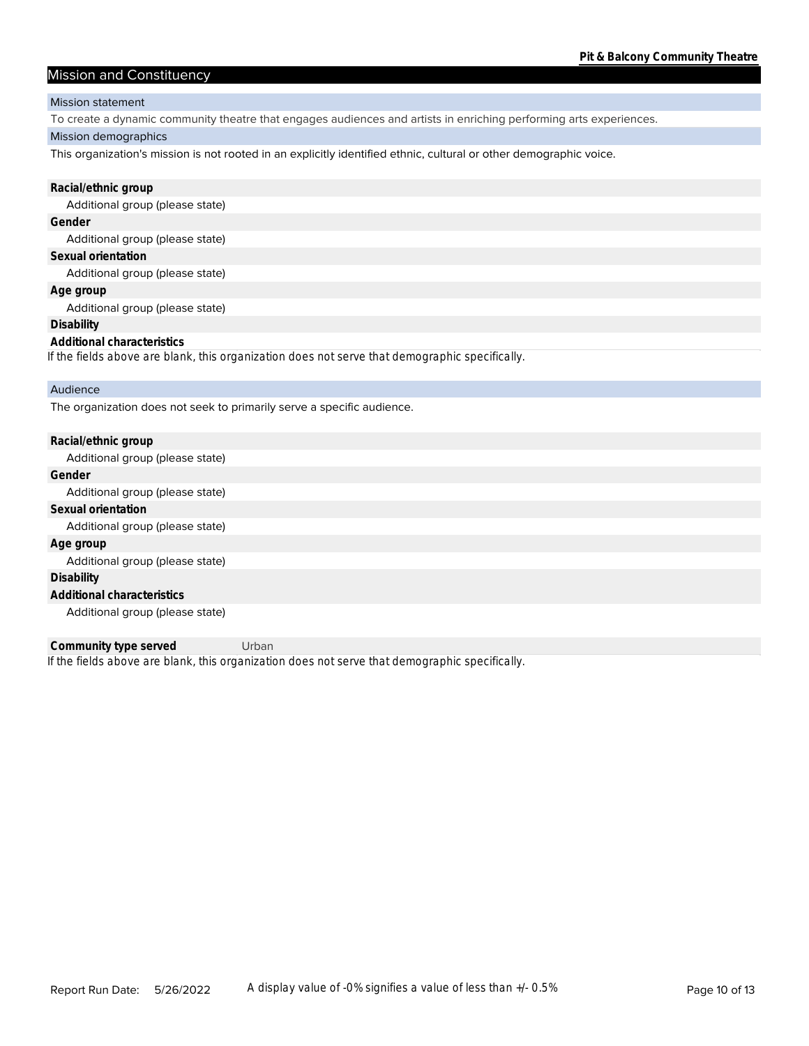### Mission and Constituency

#### Mission statement

To create a dynamic community theatre that engages audiences and artists in enriching performing arts experiences.

#### Mission demographics

This organization's mission is not rooted in an explicitly identified ethnic, cultural or other demographic voice.

| Racial/ethnic group                                                                            |
|------------------------------------------------------------------------------------------------|
| Additional group (please state)                                                                |
| Gender                                                                                         |
| Additional group (please state)                                                                |
| Sexual orientation                                                                             |
| Additional group (please state)                                                                |
| Age group                                                                                      |
| Additional group (please state)                                                                |
| Disability                                                                                     |
| Additional characteristics                                                                     |
| If the fields above are blank, this organization does not serve that demographic specifically. |
| Audience                                                                                       |
| The organization does not seek to primarily serve a specific audience.                         |

| Racial/ethnic group             |
|---------------------------------|
| Additional group (please state) |
| Gender                          |
| Additional group (please state) |
| Sexual orientation              |
| Additional group (please state) |
| Age group                       |
| Additional group (please state) |
| Disability                      |
| Additional characteristics      |
| Additional group (please state) |

*If the fields above are blank, this organization does not serve that demographic specifically.* **Community type served** Urban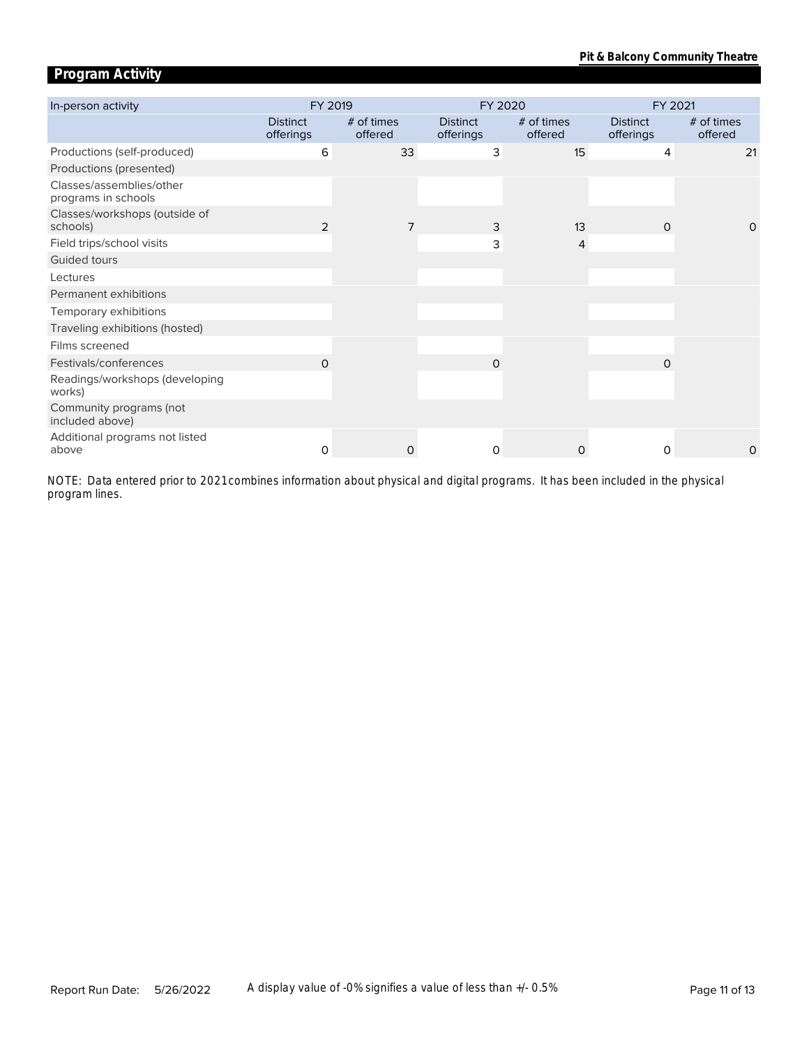# **Program Activity**

| In-person activity                              | FY 2019                      |                       | FY 2020                      |                       | FY 2021                      |                       |  |
|-------------------------------------------------|------------------------------|-----------------------|------------------------------|-----------------------|------------------------------|-----------------------|--|
|                                                 | <b>Distinct</b><br>offerings | # of times<br>offered | <b>Distinct</b><br>offerings | # of times<br>offered | <b>Distinct</b><br>offerings | # of times<br>offered |  |
| Productions (self-produced)                     | 6                            | 33                    | 3                            | 15                    | 4                            | 21                    |  |
| Productions (presented)                         |                              |                       |                              |                       |                              |                       |  |
| Classes/assemblies/other<br>programs in schools |                              |                       |                              |                       |                              |                       |  |
| Classes/workshops (outside of<br>schools)       | 2                            | 7                     | 3                            | 13                    | $\Omega$                     | $\Omega$              |  |
| Field trips/school visits                       |                              |                       | 3                            | 4                     |                              |                       |  |
| Guided tours                                    |                              |                       |                              |                       |                              |                       |  |
| Lectures                                        |                              |                       |                              |                       |                              |                       |  |
| Permanent exhibitions                           |                              |                       |                              |                       |                              |                       |  |
| Temporary exhibitions                           |                              |                       |                              |                       |                              |                       |  |
| Traveling exhibitions (hosted)                  |                              |                       |                              |                       |                              |                       |  |
| Films screened                                  |                              |                       |                              |                       |                              |                       |  |
| Festivals/conferences                           | O                            |                       | $\Omega$                     |                       | $\Omega$                     |                       |  |
| Readings/workshops (developing<br>works)        |                              |                       |                              |                       |                              |                       |  |
| Community programs (not<br>included above)      |                              |                       |                              |                       |                              |                       |  |
| Additional programs not listed<br>above         | 0                            | 0                     | 0                            | 0                     | 0                            | 0                     |  |

*program lines. NOTE: Data entered prior to 2021 combines information about physical and digital programs. It has been included in the physical*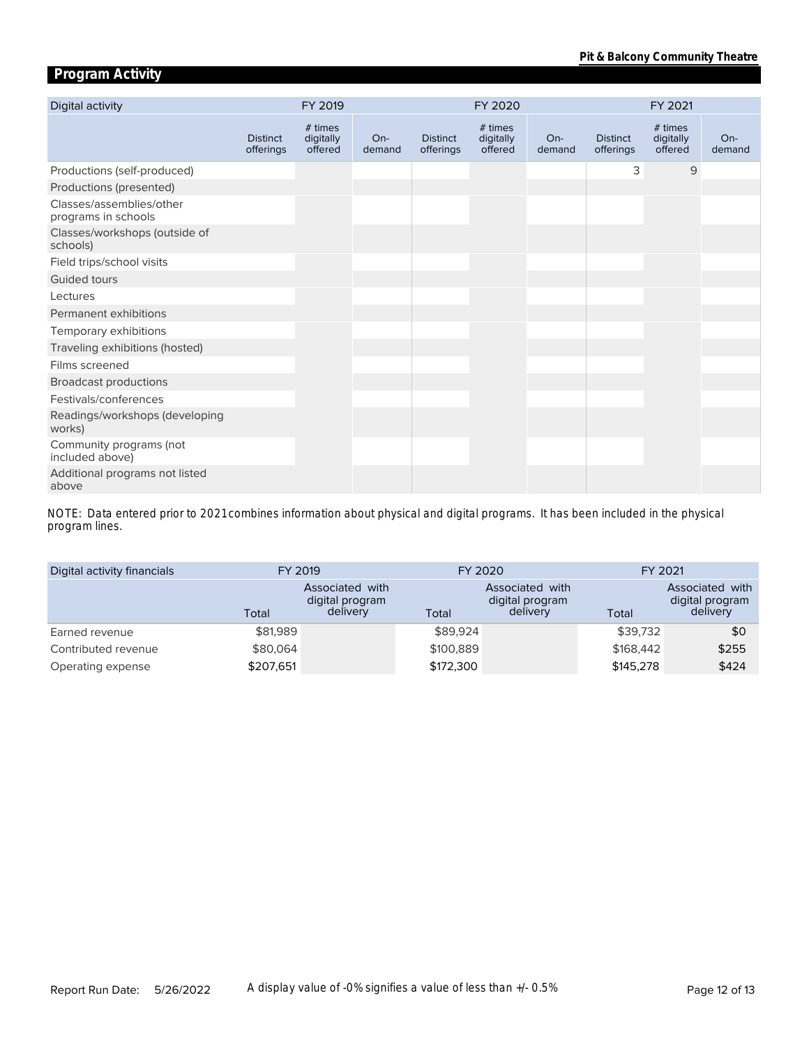# **Program Activity**

| Digital activity                                | FY 2019                      |                                 | FY 2020         |                              |                                 | FY 2021         |                              |                                 |               |
|-------------------------------------------------|------------------------------|---------------------------------|-----------------|------------------------------|---------------------------------|-----------------|------------------------------|---------------------------------|---------------|
|                                                 | <b>Distinct</b><br>offerings | # times<br>digitally<br>offered | $On-$<br>demand | <b>Distinct</b><br>offerings | # times<br>digitally<br>offered | $On-$<br>demand | <b>Distinct</b><br>offerings | # times<br>digitally<br>offered | On-<br>demand |
| Productions (self-produced)                     |                              |                                 |                 |                              |                                 |                 | 3                            | 9                               |               |
| Productions (presented)                         |                              |                                 |                 |                              |                                 |                 |                              |                                 |               |
| Classes/assemblies/other<br>programs in schools |                              |                                 |                 |                              |                                 |                 |                              |                                 |               |
| Classes/workshops (outside of<br>schools)       |                              |                                 |                 |                              |                                 |                 |                              |                                 |               |
| Field trips/school visits                       |                              |                                 |                 |                              |                                 |                 |                              |                                 |               |
| Guided tours                                    |                              |                                 |                 |                              |                                 |                 |                              |                                 |               |
| Lectures                                        |                              |                                 |                 |                              |                                 |                 |                              |                                 |               |
| Permanent exhibitions                           |                              |                                 |                 |                              |                                 |                 |                              |                                 |               |
| Temporary exhibitions                           |                              |                                 |                 |                              |                                 |                 |                              |                                 |               |
| Traveling exhibitions (hosted)                  |                              |                                 |                 |                              |                                 |                 |                              |                                 |               |
| Films screened                                  |                              |                                 |                 |                              |                                 |                 |                              |                                 |               |
| <b>Broadcast productions</b>                    |                              |                                 |                 |                              |                                 |                 |                              |                                 |               |
| Festivals/conferences                           |                              |                                 |                 |                              |                                 |                 |                              |                                 |               |
| Readings/workshops (developing<br>works)        |                              |                                 |                 |                              |                                 |                 |                              |                                 |               |
| Community programs (not<br>included above)      |                              |                                 |                 |                              |                                 |                 |                              |                                 |               |
| Additional programs not listed<br>above         |                              |                                 |                 |                              |                                 |                 |                              |                                 |               |

*program lines. NOTE: Data entered prior to 2021 combines information about physical and digital programs. It has been included in the physical* 

| Digital activity financials | FY 2019   |                                                |           | FY 2020                                        | FY 2021   |                                                |  |
|-----------------------------|-----------|------------------------------------------------|-----------|------------------------------------------------|-----------|------------------------------------------------|--|
|                             | Total     | Associated with<br>digital program<br>delivery | Total     | Associated with<br>digital program<br>delivery | Total     | Associated with<br>digital program<br>delivery |  |
| Earned revenue              | \$81,989  |                                                | \$89,924  |                                                | \$39,732  | \$0                                            |  |
| Contributed revenue         | \$80,064  |                                                | \$100,889 |                                                | \$168,442 | \$255                                          |  |
| Operating expense           | \$207,651 |                                                | \$172,300 |                                                | \$145,278 | \$424                                          |  |